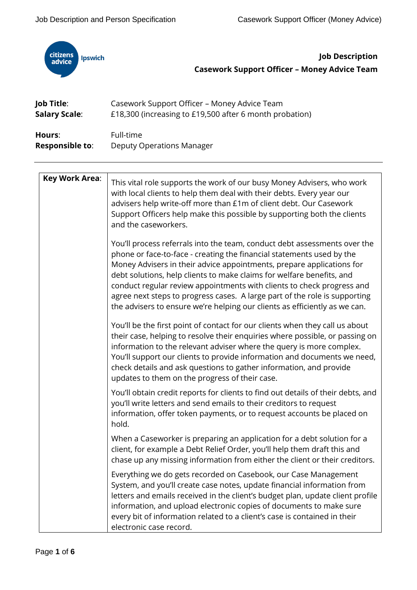

**Job Description Casework Support Officer – Money Advice Team**

| Job Title:             | Casework Support Officer - Money Advice Team            |
|------------------------|---------------------------------------------------------|
| <b>Salary Scale:</b>   | £18,300 (increasing to £19,500 after 6 month probation) |
| Hours:                 | Full-time                                               |
| <b>Responsible to:</b> | <b>Deputy Operations Manager</b>                        |

| <b>Key Work Area:</b> | This vital role supports the work of our busy Money Advisers, who work<br>with local clients to help them deal with their debts. Every year our<br>advisers help write-off more than £1m of client debt. Our Casework<br>Support Officers help make this possible by supporting both the clients<br>and the caseworkers.                                                                                                                                                                                                                   |
|-----------------------|--------------------------------------------------------------------------------------------------------------------------------------------------------------------------------------------------------------------------------------------------------------------------------------------------------------------------------------------------------------------------------------------------------------------------------------------------------------------------------------------------------------------------------------------|
|                       | You'll process referrals into the team, conduct debt assessments over the<br>phone or face-to-face - creating the financial statements used by the<br>Money Advisers in their advice appointments, prepare applications for<br>debt solutions, help clients to make claims for welfare benefits, and<br>conduct regular review appointments with clients to check progress and<br>agree next steps to progress cases. A large part of the role is supporting<br>the advisers to ensure we're helping our clients as efficiently as we can. |
|                       | You'll be the first point of contact for our clients when they call us about<br>their case, helping to resolve their enquiries where possible, or passing on<br>information to the relevant adviser where the query is more complex.<br>You'll support our clients to provide information and documents we need,<br>check details and ask questions to gather information, and provide<br>updates to them on the progress of their case.                                                                                                   |
|                       | You'll obtain credit reports for clients to find out details of their debts, and<br>you'll write letters and send emails to their creditors to request<br>information, offer token payments, or to request accounts be placed on<br>hold.                                                                                                                                                                                                                                                                                                  |
|                       | When a Caseworker is preparing an application for a debt solution for a<br>client, for example a Debt Relief Order, you'll help them draft this and<br>chase up any missing information from either the client or their creditors.                                                                                                                                                                                                                                                                                                         |
|                       | Everything we do gets recorded on Casebook, our Case Management<br>System, and you'll create case notes, update financial information from<br>letters and emails received in the client's budget plan, update client profile<br>information, and upload electronic copies of documents to make sure<br>every bit of information related to a client's case is contained in their<br>electronic case record.                                                                                                                                |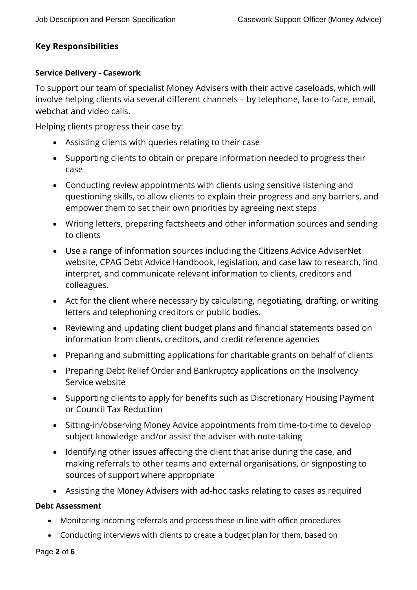# **Key Responsibilities**

### **Service Delivery - Casework**

To support our team of specialist Money Advisers with their active caseloads, which will involve helping clients via several different channels – by telephone, face-to-face, email, webchat and video calls.

Helping clients progress their case by:

- Assisting clients with queries relating to their case
- Supporting clients to obtain or prepare information needed to progress their case
- Conducting review appointments with clients using sensitive listening and questioning skills, to allow clients to explain their progress and any barriers, and empower them to set their own priorities by agreeing next steps
- Writing letters, preparing factsheets and other information sources and sending to clients
- Use a range of information sources including the Citizens Advice AdviserNet website, CPAG Debt Advice Handbook, legislation, and case law to research, find interpret, and communicate relevant information to clients, creditors and colleagues.
- Act for the client where necessary by calculating, negotiating, drafting, or writing letters and telephoning creditors or public bodies.
- Reviewing and updating client budget plans and financial statements based on information from clients, creditors, and credit reference agencies
- Preparing and submitting applications for charitable grants on behalf of clients
- Preparing Debt Relief Order and Bankruptcy applications on the Insolvency Service website
- Supporting clients to apply for benefits such as Discretionary Housing Payment or Council Tax Reduction
- Sitting-in/observing Money Advice appointments from time-to-time to develop subject knowledge and/or assist the adviser with note-taking
- Identifying other issues affecting the client that arise during the case, and making referrals to other teams and external organisations, or signposting to sources of support where appropriate
- Assisting the Money Advisers with ad-hoc tasks relating to cases as required

## **Debt Assessment**

- Monitoring incoming referrals and process these in line with office procedures
- Conducting interviews with clients to create a budget plan for them, based on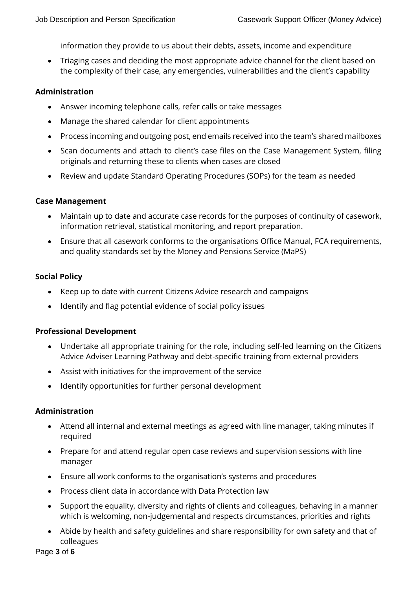information they provide to us about their debts, assets, income and expenditure

• Triaging cases and deciding the most appropriate advice channel for the client based on the complexity of their case, any emergencies, vulnerabilities and the client's capability

#### **Administration**

- Answer incoming telephone calls, refer calls or take messages
- Manage the shared calendar for client appointments
- Process incoming and outgoing post, end emails received into the team's shared mailboxes
- Scan documents and attach to client's case files on the Case Management System, filing originals and returning these to clients when cases are closed
- Review and update Standard Operating Procedures (SOPs) for the team as needed

### **Case Management**

- Maintain up to date and accurate case records for the purposes of continuity of casework, information retrieval, statistical monitoring, and report preparation.
- Ensure that all casework conforms to the organisations Office Manual, FCA requirements, and quality standards set by the Money and Pensions Service (MaPS)

## **Social Policy**

- Keep up to date with current Citizens Advice research and campaigns
- Identify and flag potential evidence of social policy issues

#### **Professional Development**

- Undertake all appropriate training for the role, including self-led learning on the Citizens Advice Adviser Learning Pathway and debt-specific training from external providers
- Assist with initiatives for the improvement of the service
- Identify opportunities for further personal development

#### **Administration**

- Attend all internal and external meetings as agreed with line manager, taking minutes if required
- Prepare for and attend regular open case reviews and supervision sessions with line manager
- Ensure all work conforms to the organisation's systems and procedures
- Process client data in accordance with Data Protection law
- Support the equality, diversity and rights of clients and colleagues, behaving in a manner which is welcoming, non-judgemental and respects circumstances, priorities and rights
- Abide by health and safety guidelines and share responsibility for own safety and that of colleagues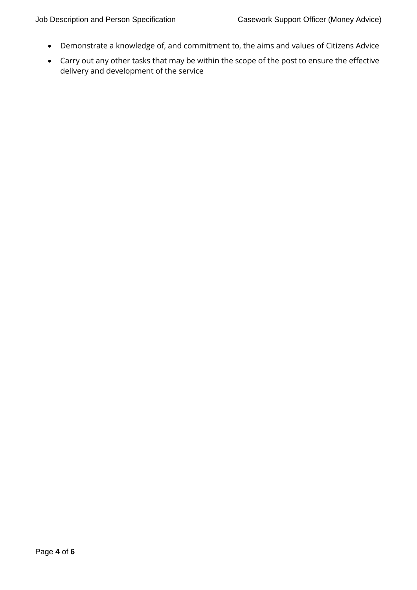- Demonstrate a knowledge of, and commitment to, the aims and values of Citizens Advice
- Carry out any other tasks that may be within the scope of the post to ensure the effective delivery and development of the service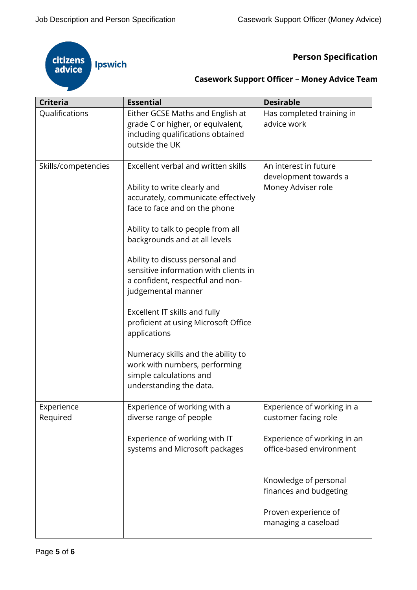

**Person Specification** 

| <b>Casework Support Officer - Money Advice Team</b> |  |  |  |  |
|-----------------------------------------------------|--|--|--|--|
|-----------------------------------------------------|--|--|--|--|

| <b>Criteria</b>        | <b>Essential</b>                                                                                                                                                                                                                                                                                                                                                                                                                                  | <b>Desirable</b>                                                     |
|------------------------|---------------------------------------------------------------------------------------------------------------------------------------------------------------------------------------------------------------------------------------------------------------------------------------------------------------------------------------------------------------------------------------------------------------------------------------------------|----------------------------------------------------------------------|
| Qualifications         | Either GCSE Maths and English at<br>grade C or higher, or equivalent,<br>including qualifications obtained<br>outside the UK                                                                                                                                                                                                                                                                                                                      | Has completed training in<br>advice work                             |
| Skills/competencies    | Excellent verbal and written skills<br>Ability to write clearly and<br>accurately, communicate effectively<br>face to face and on the phone<br>Ability to talk to people from all<br>backgrounds and at all levels<br>Ability to discuss personal and<br>sensitive information with clients in<br>a confident, respectful and non-<br>judgemental manner<br>Excellent IT skills and fully<br>proficient at using Microsoft Office<br>applications | An interest in future<br>development towards a<br>Money Adviser role |
|                        | Numeracy skills and the ability to<br>work with numbers, performing<br>simple calculations and<br>understanding the data.                                                                                                                                                                                                                                                                                                                         |                                                                      |
| Experience<br>Required | Experience of working with a<br>diverse range of people                                                                                                                                                                                                                                                                                                                                                                                           | Experience of working in a<br>customer facing role                   |
|                        | Experience of working with IT<br>systems and Microsoft packages                                                                                                                                                                                                                                                                                                                                                                                   | Experience of working in an<br>office-based environment              |
|                        |                                                                                                                                                                                                                                                                                                                                                                                                                                                   | Knowledge of personal<br>finances and budgeting                      |
|                        |                                                                                                                                                                                                                                                                                                                                                                                                                                                   | Proven experience of<br>managing a caseload                          |